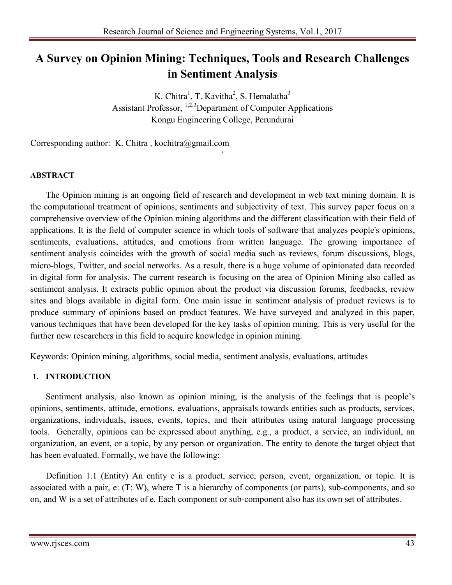# **A Survey on Opinion Mining: Techniques, Tools and Research Challenges in Sentiment Analysis**

K. Chitra<sup>1</sup>, T. Kavitha<sup>2</sup>, S. Hemalatha<sup>3</sup> Assistant Professor, <sup>1,2,3</sup>Department of Computer Applications Kongu Engineering College, Perundurai

`

Corresponding author: K. Chitra , kochitra@gmail.com

# **ABSTRACT**

The Opinion mining is an ongoing field of research and development in web text mining domain. It is the computational treatment of opinions, sentiments and subjectivity of text. This survey paper focus on a comprehensive overview of the Opinion mining algorithms and the different classification with their field of applications. It is the field of computer science in which tools of software that analyzes people's opinions, sentiments, evaluations, attitudes, and emotions from written language. The growing importance of sentiment analysis coincides with the growth of social media such as reviews, forum discussions, blogs, micro-blogs, Twitter, and social networks. As a result, there is a huge volume of opinionated data recorded in digital form for analysis. The current research is focusing on the area of Opinion Mining also called as sentiment analysis. It extracts public opinion about the product via discussion forums, feedbacks, review sites and blogs available in digital form. One main issue in sentiment analysis of product reviews is to produce summary of opinions based on product features. We have surveyed and analyzed in this paper, various techniques that have been developed for the key tasks of opinion mining. This is very useful for the further new researchers in this field to acquire knowledge in opinion mining.

Keywords: Opinion mining, algorithms, social media, sentiment analysis, evaluations, attitudes

#### **1. INTRODUCTION**

Sentiment analysis, also known as opinion mining, is the analysis of the feelings that is people's opinions, sentiments, attitude, emotions, evaluations, appraisals towards entities such as products, services, organizations, individuals, issues, events, topics, and their attributes using natural language processing tools. Generally, opinions can be expressed about anything, e.g., a product, a service, an individual, an organization, an event, or a topic, by any person or organization. The entity to denote the target object that has been evaluated. Formally, we have the following:

Definition 1.1 (Entity) An entity e is a product, service, person, event, organization, or topic. It is associated with a pair, e: (T; W), where T is a hierarchy of components (or parts), sub-components, and so on, and W is a set of attributes of e. Each component or sub-component also has its own set of attributes.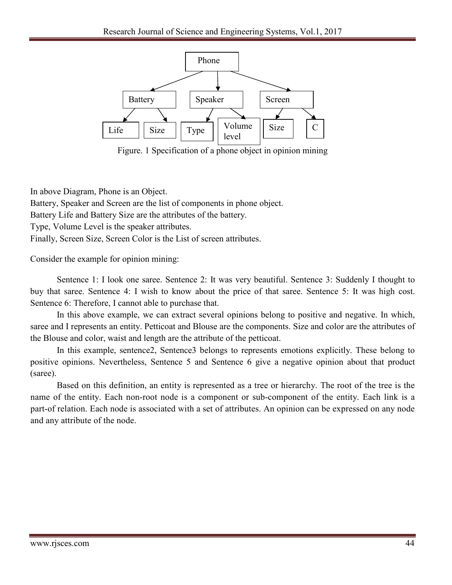

Figure. 1 Specification of a phone object in opinion mining

In above Diagram, Phone is an Object.

Battery, Speaker and Screen are the list of components in phone object.

Battery Life and Battery Size are the attributes of the battery.

Type, Volume Level is the speaker attributes.

Finally, Screen Size, Screen Color is the List of screen attributes.

Consider the example for opinion mining:

Sentence 1: I look one saree. Sentence 2: It was very beautiful. Sentence 3: Suddenly I thought to buy that saree. Sentence 4: I wish to know about the price of that saree. Sentence 5: It was high cost. Sentence 6: Therefore, I cannot able to purchase that.

In this above example, we can extract several opinions belong to positive and negative. In which, saree and I represents an entity. Petticoat and Blouse are the components. Size and color are the attributes of the Blouse and color, waist and length are the attribute of the petticoat.

In this example, sentence2, Sentence3 belongs to represents emotions explicitly. These belong to positive opinions. Nevertheless, Sentence 5 and Sentence 6 give a negative opinion about that product (saree).

Based on this definition, an entity is represented as a tree or hierarchy. The root of the tree is the name of the entity. Each non-root node is a component or sub-component of the entity. Each link is a part-of relation. Each node is associated with a set of attributes. An opinion can be expressed on any node and any attribute of the node.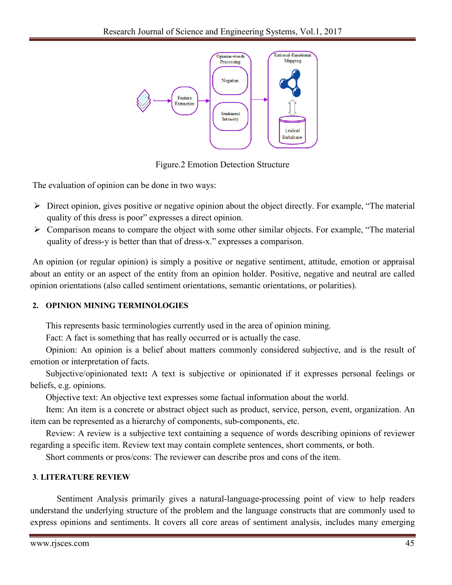

Figure.2 Emotion Detection Structure

The evaluation of opinion can be done in two ways:

- $\triangleright$  Direct opinion, gives positive or negative opinion about the object directly. For example, "The material quality of this dress is poor" expresses a direct opinion.
- $\triangleright$  Comparison means to compare the object with some other similar objects. For example, "The material" quality of dress-y is better than that of dress-x." expresses a comparison.

An opinion (or regular opinion) is simply a positive or negative sentiment, attitude, emotion or appraisal about an entity or an aspect of the entity from an opinion holder. Positive, negative and neutral are called opinion orientations (also called sentiment orientations, semantic orientations, or polarities).

# **2. OPINION MINING TERMINOLOGIES**

This represents basic terminologies currently used in the area of opinion mining.

Fact: A fact is something that has really occurred or is actually the case.

Opinion: An opinion is a belief about matters commonly considered subjective, and is the result of emotion or interpretation of facts.

Subjective/opinionated text**:** A text is subjective or opinionated if it expresses personal feelings or beliefs, e.g. opinions.

Objective text: An objective text expresses some factual information about the world.

Item: An item is a concrete or abstract object such as product, service, person, event, organization. An item can be represented as a hierarchy of components, sub-components, etc.

Review: A review is a subjective text containing a sequence of words describing opinions of reviewer regarding a specific item. Review text may contain complete sentences, short comments, or both.

Short comments or pros/cons: The reviewer can describe pros and cons of the item.

# **3**. **LITERATURE REVIEW**

Sentiment Analysis primarily gives a natural-language-processing point of view to help readers understand the underlying structure of the problem and the language constructs that are commonly used to express opinions and sentiments. It covers all core areas of sentiment analysis, includes many emerging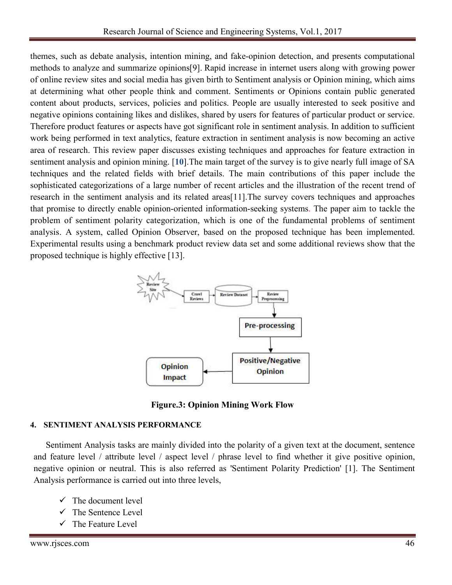themes, such as debate analysis, intention mining, and fake-opinion detection, and presents computational methods to analyze and summarize opinions[9]. Rapid increase in internet users along with growing power of online review sites and social media has given birth to Sentiment analysis or Opinion mining, which aims at determining what other people think and comment. Sentiments or Opinions contain public generated content about products, services, policies and politics. People are usually interested to seek positive and negative opinions containing likes and dislikes, shared by users for features of particular product or service. Therefore product features or aspects have got significant role in sentiment analysis. In addition to sufficient work being performed in text analytics, feature extraction in sentiment analysis is now becoming an active area of research. This review paper discusses existing techniques and approaches for feature extraction in sentiment analysis and opinion mining. [**10**].The main target of the survey is to give nearly full image of SA techniques and the related fields with brief details. The main contributions of this paper include the sophisticated categorizations of a large number of recent articles and the illustration of the recent trend of research in the sentiment analysis and its related areas[11].The survey covers techniques and approaches that promise to directly enable opinion-oriented information-seeking systems. The paper aim to tackle the problem of sentiment polarity categorization, which is one of the fundamental problems of sentiment analysis. A system, called Opinion Observer, based on the proposed technique has been implemented. Experimental results using a benchmark product review data set and some additional reviews show that the proposed technique is highly effective [13].



**Figure.3: Opinion Mining Work Flow**

#### **4. SENTIMENT ANALYSIS PERFORMANCE**

Sentiment Analysis tasks are mainly divided into the polarity of a given text at the document, sentence and feature level / attribute level / aspect level / phrase level to find whether it give positive opinion, negative opinion or neutral. This is also referred as 'Sentiment Polarity Prediction' [1]. The Sentiment Analysis performance is carried out into three levels,

- $\checkmark$  The document level
- $\checkmark$  The Sentence Level
- $\checkmark$  The Feature Level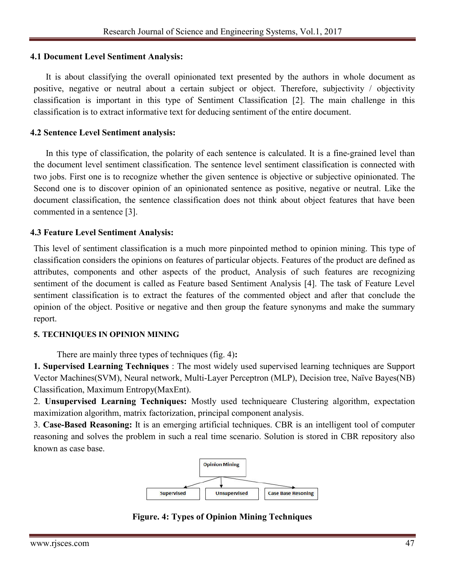## **4.1 Document Level Sentiment Analysis:**

It is about classifying the overall opinionated text presented by the authors in whole document as positive, negative or neutral about a certain subject or object. Therefore, subjectivity / objectivity classification is important in this type of Sentiment Classification [2]. The main challenge in this classification is to extract informative text for deducing sentiment of the entire document.

# **4.2 Sentence Level Sentiment analysis:**

In this type of classification, the polarity of each sentence is calculated. It is a fine-grained level than the document level sentiment classification. The sentence level sentiment classification is connected with two jobs. First one is to recognize whether the given sentence is objective or subjective opinionated. The Second one is to discover opinion of an opinionated sentence as positive, negative or neutral. Like the document classification, the sentence classification does not think about object features that have been commented in a sentence [3].

# **4.3 Feature Level Sentiment Analysis:**

This level of sentiment classification is a much more pinpointed method to opinion mining. This type of classification considers the opinions on features of particular objects. Features of the product are defined as attributes, components and other aspects of the product, Analysis of such features are recognizing sentiment of the document is called as Feature based Sentiment Analysis [4]. The task of Feature Level sentiment classification is to extract the features of the commented object and after that conclude the opinion of the object. Positive or negative and then group the feature synonyms and make the summary report.

#### **5. TECHNIQUES IN OPINION MINING**

There are mainly three types of techniques (fig. 4)**:**

**1. Supervised Learning Techniques** : The most widely used supervised learning techniques are Support Vector Machines(SVM), Neural network, Multi-Layer Perceptron (MLP), Decision tree, Naïve Bayes(NB) Classification, Maximum Entropy(MaxEnt).

2. **Unsupervised Learning Techniques:** Mostly used techniqueare Clustering algorithm, expectation maximization algorithm, matrix factorization, principal component analysis.

3. **Case-Based Reasoning:** It is an emerging artificial techniques. CBR is an intelligent tool of computer reasoning and solves the problem in such a real time scenario. Solution is stored in CBR repository also known as case base.



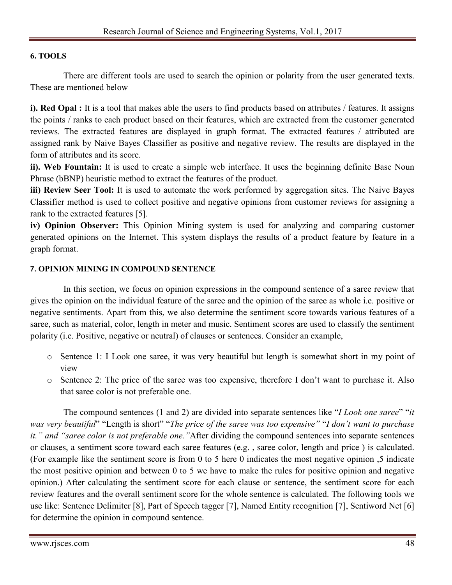# **6. TOOLS**

There are different tools are used to search the opinion or polarity from the user generated texts. These are mentioned below

**i). Red Opal :** It is a tool that makes able the users to find products based on attributes / features. It assigns the points / ranks to each product based on their features, which are extracted from the customer generated reviews. The extracted features are displayed in graph format. The extracted features / attributed are assigned rank by Naive Bayes Classifier as positive and negative review. The results are displayed in the form of attributes and its score.

**ii). Web Fountain:** It is used to create a simple web interface. It uses the beginning definite Base Noun Phrase (bBNP) heuristic method to extract the features of the product.

**iii) Review Seer Tool:** It is used to automate the work performed by aggregation sites. The Naive Bayes Classifier method is used to collect positive and negative opinions from customer reviews for assigning a rank to the extracted features [5].

**iv) Opinion Observer:** This Opinion Mining system is used for analyzing and comparing customer generated opinions on the Internet. This system displays the results of a product feature by feature in a graph format.

#### **7. OPINION MINING IN COMPOUND SENTENCE**

In this section, we focus on opinion expressions in the compound sentence of a saree review that gives the opinion on the individual feature of the saree and the opinion of the saree as whole i.e. positive or negative sentiments. Apart from this, we also determine the sentiment score towards various features of a saree, such as material, color, length in meter and music. Sentiment scores are used to classify the sentiment polarity (i.e. Positive, negative or neutral) of clauses or sentences. Consider an example,

- o Sentence 1: I Look one saree, it was very beautiful but length is somewhat short in my point of view
- o Sentence 2: The price of the saree was too expensive, therefore I don't want to purchase it. Also that saree color is not preferable one.

The compound sentences (1 and 2) are divided into separate sentences like "*I Look one saree*" "*it was very beautiful*" "Length is short" "*The price of the saree was too expensive"* "*I don't want to purchase it." and "saree color is not preferable one."*After dividing the compound sentences into separate sentences or clauses, a sentiment score toward each saree features (e.g. , saree color, length and price ) is calculated. (For example like the sentiment score is from 0 to 5 here 0 indicates the most negative opinion ,5 indicate the most positive opinion and between 0 to 5 we have to make the rules for positive opinion and negative opinion.) After calculating the sentiment score for each clause or sentence, the sentiment score for each review features and the overall sentiment score for the whole sentence is calculated. The following tools we use like: Sentence Delimiter [8], Part of Speech tagger [7], Named Entity recognition [7], Sentiword Net [6] for determine the opinion in compound sentence.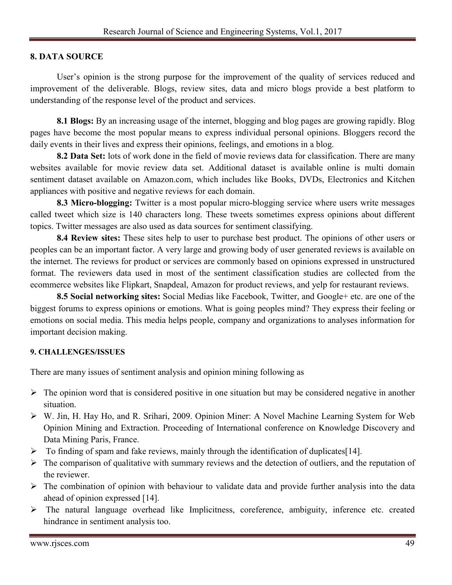# **8. DATA SOURCE**

User's opinion is the strong purpose for the improvement of the quality of services reduced and improvement of the deliverable. Blogs, review sites, data and micro blogs provide a best platform to understanding of the response level of the product and services.

**8.1 Blogs:** By an increasing usage of the internet, blogging and blog pages are growing rapidly. Blog pages have become the most popular means to express individual personal opinions. Bloggers record the daily events in their lives and express their opinions, feelings, and emotions in a blog.

**8.2 Data Set:** lots of work done in the field of movie reviews data for classification. There are many websites available for movie review data set. Additional dataset is available online is multi domain sentiment dataset available on Amazon.com, which includes like Books, DVDs, Electronics and Kitchen appliances with positive and negative reviews for each domain.

**8.3 Micro-blogging:** Twitter is a most popular micro-blogging service where users write messages called tweet which size is 140 characters long. These tweets sometimes express opinions about different topics. Twitter messages are also used as data sources for sentiment classifying.

**8.4 Review sites:** These sites help to user to purchase best product. The opinions of other users or peoples can be an important factor. A very large and growing body of user generated reviews is available on the internet. The reviews for product or services are commonly based on opinions expressed in unstructured format. The reviewers data used in most of the sentiment classification studies are collected from the ecommerce websites like Flipkart, Snapdeal, Amazon for product reviews, and yelp for restaurant reviews.

**8.5 Social networking sites:** Social Medias like Facebook, Twitter, and Google+ etc. are one of the biggest forums to express opinions or emotions. What is going peoples mind? They express their feeling or emotions on social media. This media helps people, company and organizations to analyses information for important decision making.

#### **9. CHALLENGES/ISSUES**

There are many issues of sentiment analysis and opinion mining following as

- $\triangleright$  The opinion word that is considered positive in one situation but may be considered negative in another situation.
- W. Jin, H. Hay Ho, and R. Srihari, 2009. Opinion Miner: A Novel Machine Learning System for Web Opinion Mining and Extraction. Proceeding of International conference on Knowledge Discovery and Data Mining Paris, France.
- $\triangleright$  To finding of spam and fake reviews, mainly through the identification of duplicates [14].
- $\triangleright$  The comparison of qualitative with summary reviews and the detection of outliers, and the reputation of the reviewer.
- $\triangleright$  The combination of opinion with behaviour to validate data and provide further analysis into the data ahead of opinion expressed [14].
- $\triangleright$  The natural language overhead like Implicitness, coreference, ambiguity, inference etc. created hindrance in sentiment analysis too.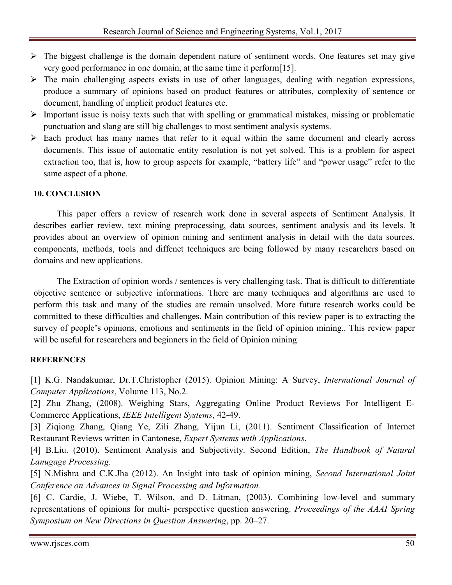- $\triangleright$  The biggest challenge is the domain dependent nature of sentiment words. One features set may give very good performance in one domain, at the same time it perform[15].
- $\triangleright$  The main challenging aspects exists in use of other languages, dealing with negation expressions, produce a summary of opinions based on product features or attributes, complexity of sentence or document, handling of implicit product features etc.
- $\triangleright$  Important issue is noisy texts such that with spelling or grammatical mistakes, missing or problematic punctuation and slang are still big challenges to most sentiment analysis systems.
- $\triangleright$  Each product has many names that refer to it equal within the same document and clearly across documents. This issue of automatic entity resolution is not yet solved. This is a problem for aspect extraction too, that is, how to group aspects for example, "battery life" and "power usage" refer to the same aspect of a phone.

# **10. CONCLUSION**

This paper offers a review of research work done in several aspects of Sentiment Analysis. It describes earlier review, text mining preprocessing, data sources, sentiment analysis and its levels. It provides about an overview of opinion mining and sentiment analysis in detail with the data sources, components, methods, tools and diffenet techniques are being followed by many researchers based on domains and new applications.

The Extraction of opinion words / sentences is very challenging task. That is difficult to differentiate objective sentence or subjective informations. There are many techniques and algorithms are used to perform this task and many of the studies are remain unsolved. More future research works could be committed to these difficulties and challenges. Main contribution of this review paper is to extracting the survey of people's opinions, emotions and sentiments in the field of opinion mining.. This review paper will be useful for researchers and beginners in the field of Opinion mining

#### **REFERENCES**

[1] K.G. Nandakumar, Dr.T.Christopher (2015). Opinion Mining: A Survey, *International Journal of Computer Applications*, Volume 113, No.2.

[2] Zhu Zhang, (2008). Weighing Stars, Aggregating Online Product Reviews For Intelligent E-Commerce Applications, *IEEE Intelligent Systems*, 42-49.

[3] Ziqiong Zhang, Qiang Ye, Zili Zhang, Yijun Li, (2011). Sentiment Classification of Internet Restaurant Reviews written in Cantonese, *Expert Systems with Applications*.

[4] B.Liu. (2010). Sentiment Analysis and Subjectivity. Second Edition, *The Handbook of Natural Lanugage Processing.*

[5] N.Mishra and C.K.Jha (2012). An Insight into task of opinion mining, *Second International Joint Conference on Advances in Signal Processing and Information.*

[6] C. Cardie, J. Wiebe, T. Wilson, and D. Litman, (2003). Combining low-level and summary representations of opinions for multi- perspective question answering. *Proceedings of the AAAI Spring Symposium on New Directions in Question Answering*, pp. 20–27.